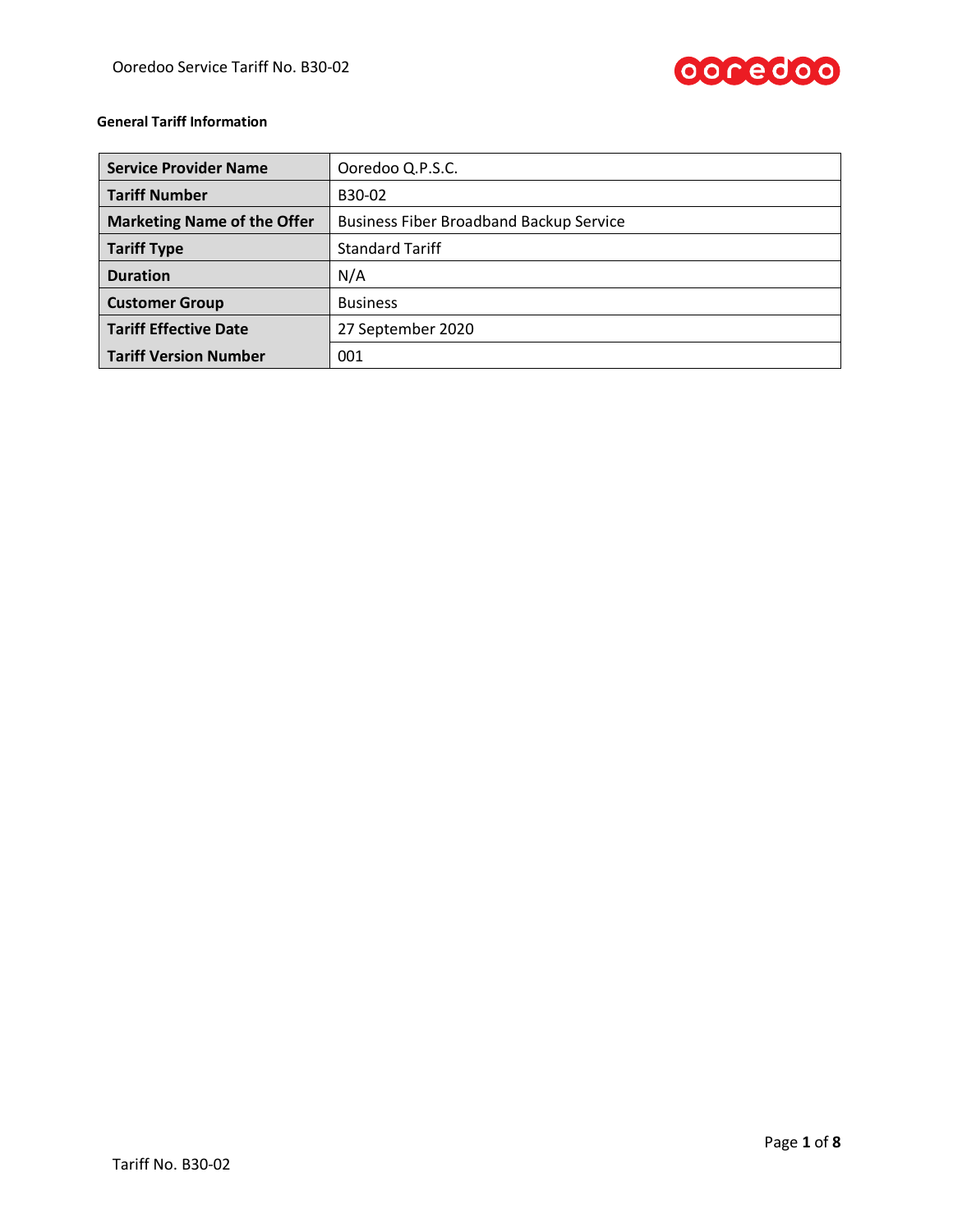

# **General Tariff Information**

| <b>Service Provider Name</b>       | Ooredoo Q.P.S.C.                               |  |  |
|------------------------------------|------------------------------------------------|--|--|
| <b>Tariff Number</b>               | B30-02                                         |  |  |
| <b>Marketing Name of the Offer</b> | <b>Business Fiber Broadband Backup Service</b> |  |  |
| <b>Tariff Type</b>                 | <b>Standard Tariff</b>                         |  |  |
| <b>Duration</b>                    | N/A                                            |  |  |
| <b>Customer Group</b>              | <b>Business</b>                                |  |  |
| <b>Tariff Effective Date</b>       | 27 September 2020                              |  |  |
| <b>Tariff Version Number</b>       | 001                                            |  |  |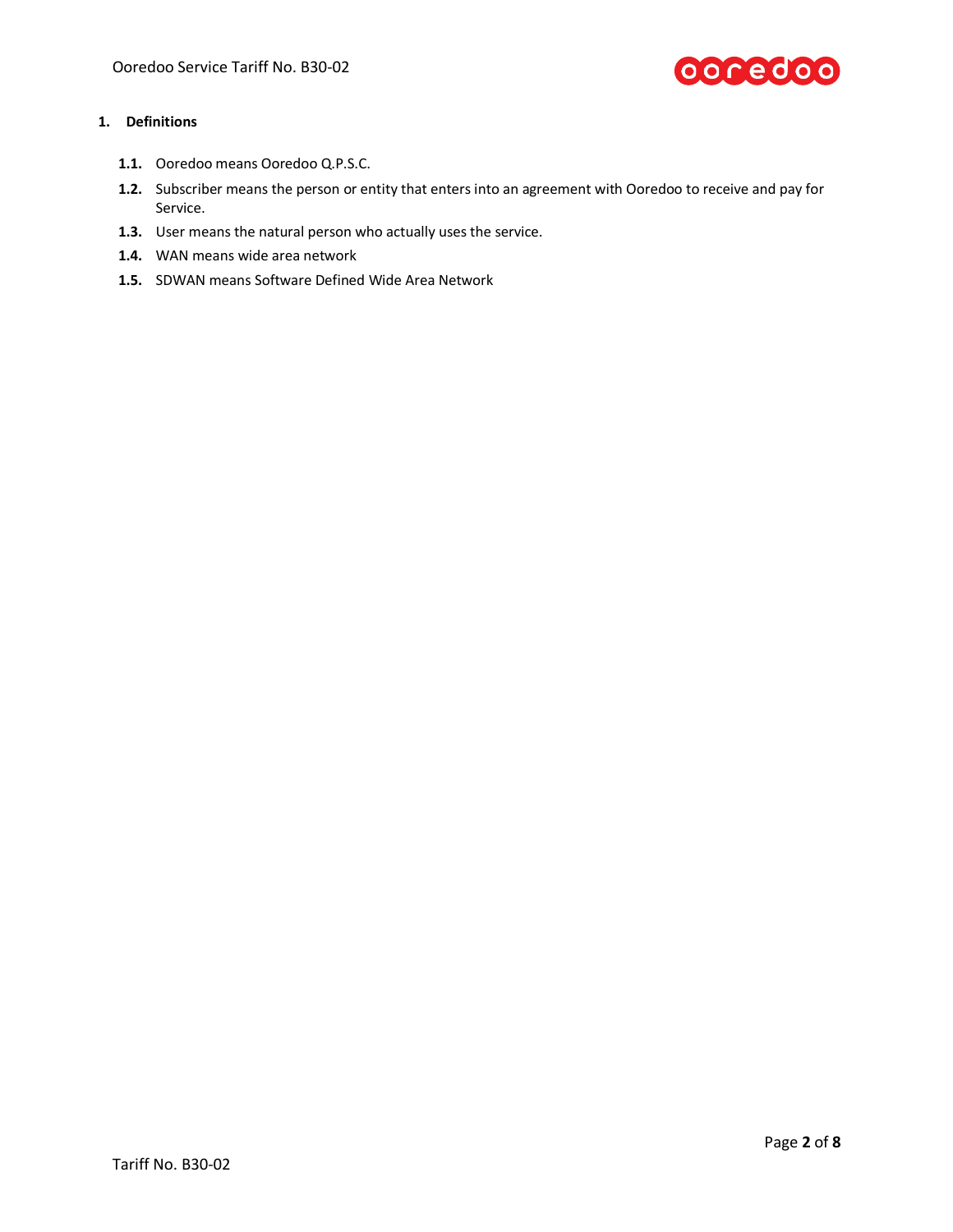

## **1. Definitions**

- **1.1.** Ooredoo means Ooredoo Q.P.S.C.
- **1.2.** Subscriber means the person or entity that enters into an agreement with Ooredoo to receive and pay for Service.
- **1.3.** User means the natural person who actually uses the service.
- **1.4.** WAN means wide area network
- **1.5.** SDWAN means Software Defined Wide Area Network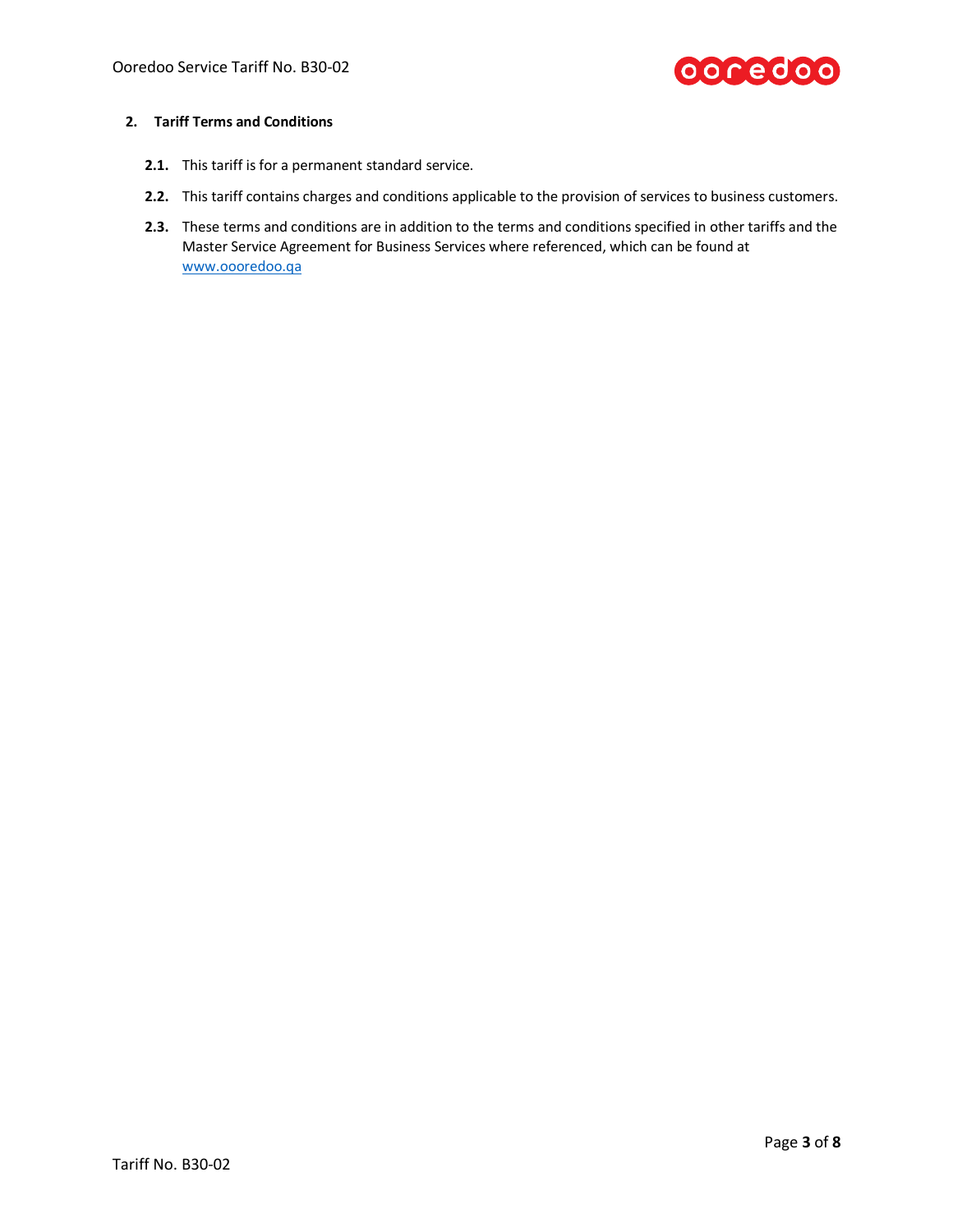

### **2. Tariff Terms and Conditions**

- **2.1.** This tariff is for a permanent standard service.
- **2.2.** This tariff contains charges and conditions applicable to the provision of services to business customers.
- **2.3.** These terms and conditions are in addition to the terms and conditions specified in other tariffs and the Master Service Agreement for Business Services where referenced, which can be found at [www.oooredoo.qa](http://www.oooredoo.qa/)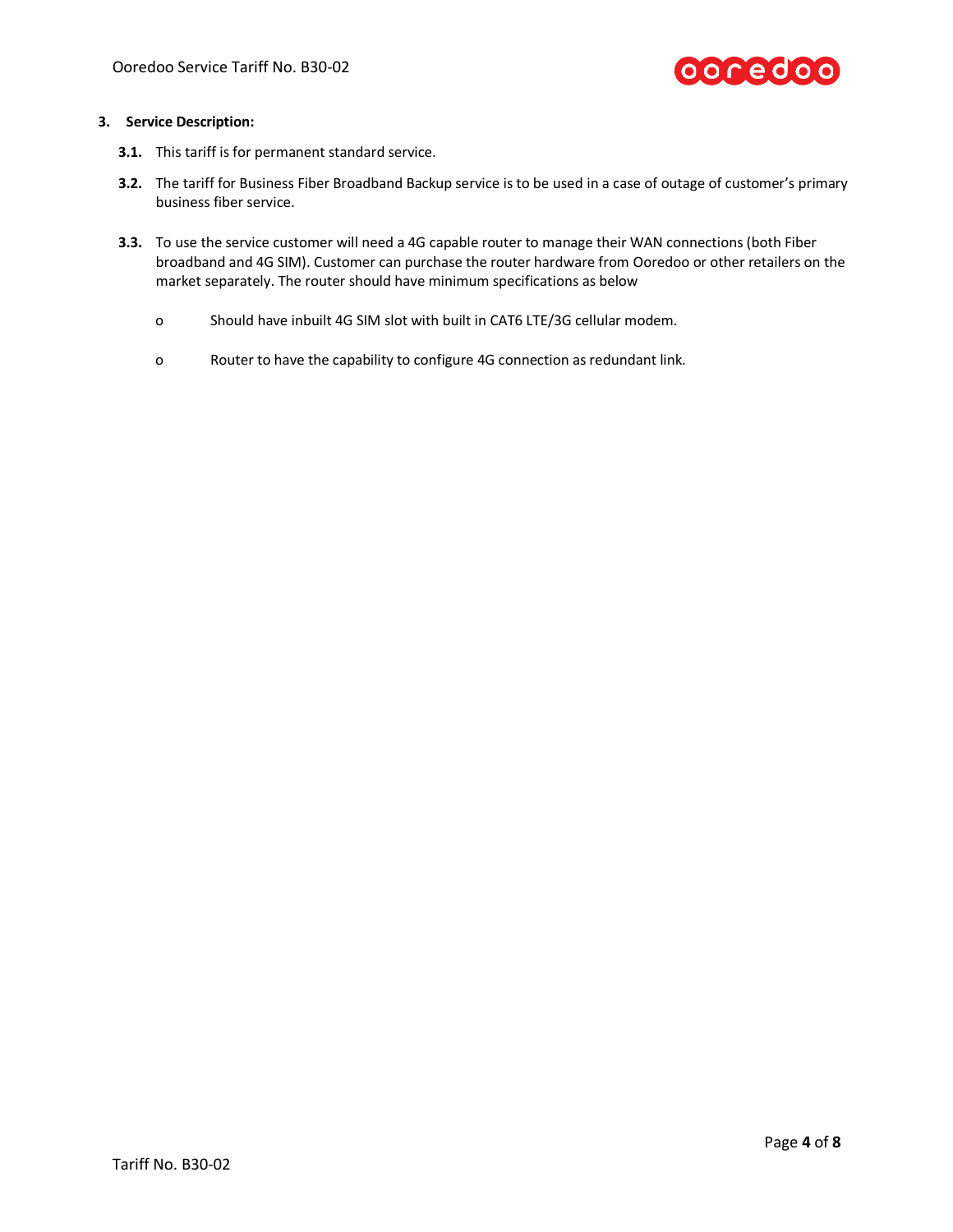

#### **3. Service Description:**

- **3.1.** This tariff is for permanent standard service.
- **3.2.** The tariff for Business Fiber Broadband Backup service is to be used in a case of outage of customer's primary business fiber service.
- **3.3.** To use the service customer will need a 4G capable router to manage their WAN connections (both Fiber broadband and 4G SIM). Customer can purchase the router hardware from Ooredoo or other retailers on the market separately. The router should have minimum specifications as below
	- o Should have inbuilt 4G SIM slot with built in CAT6 LTE/3G cellular modem.
	- o Router to have the capability to configure 4G connection as redundant link.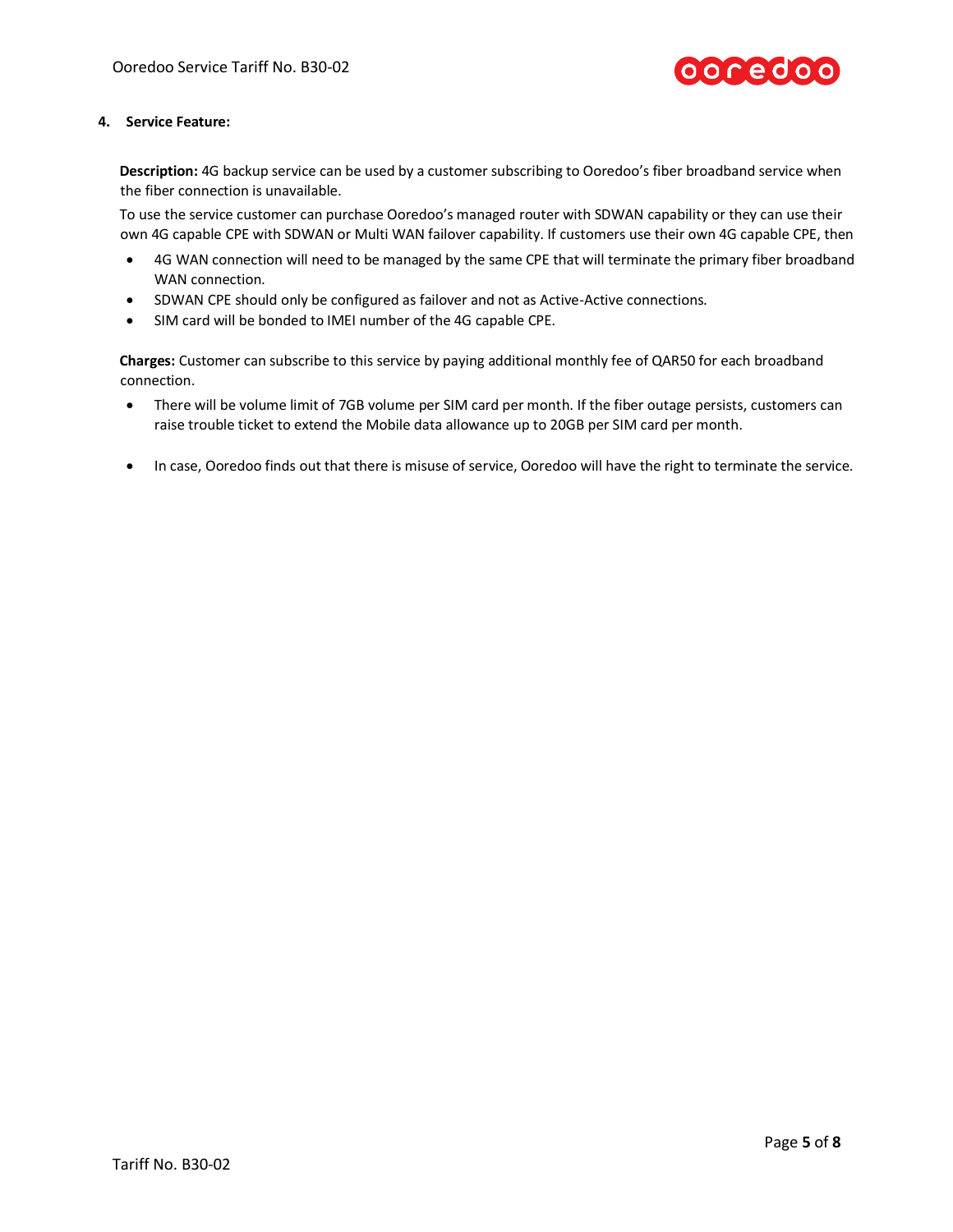

#### **4. Service Feature:**

**Description:** 4G backup service can be used by a customer subscribing to Ooredoo's fiber broadband service when the fiber connection is unavailable.

To use the service customer can purchase Ooredoo's managed router with SDWAN capability or they can use their own 4G capable CPE with SDWAN or Multi WAN failover capability. If customers use their own 4G capable CPE, then

- 4G WAN connection will need to be managed by the same CPE that will terminate the primary fiber broadband WAN connection.
- SDWAN CPE should only be configured as failover and not as Active-Active connections.
- SIM card will be bonded to IMEI number of the 4G capable CPE.

**Charges:** Customer can subscribe to this service by paying additional monthly fee of QAR50 for each broadband connection.

- There will be volume limit of 7GB volume per SIM card per month. If the fiber outage persists, customers can raise trouble ticket to extend the Mobile data allowance up to 20GB per SIM card per month.
- In case, Ooredoo finds out that there is misuse of service, Ooredoo will have the right to terminate the service.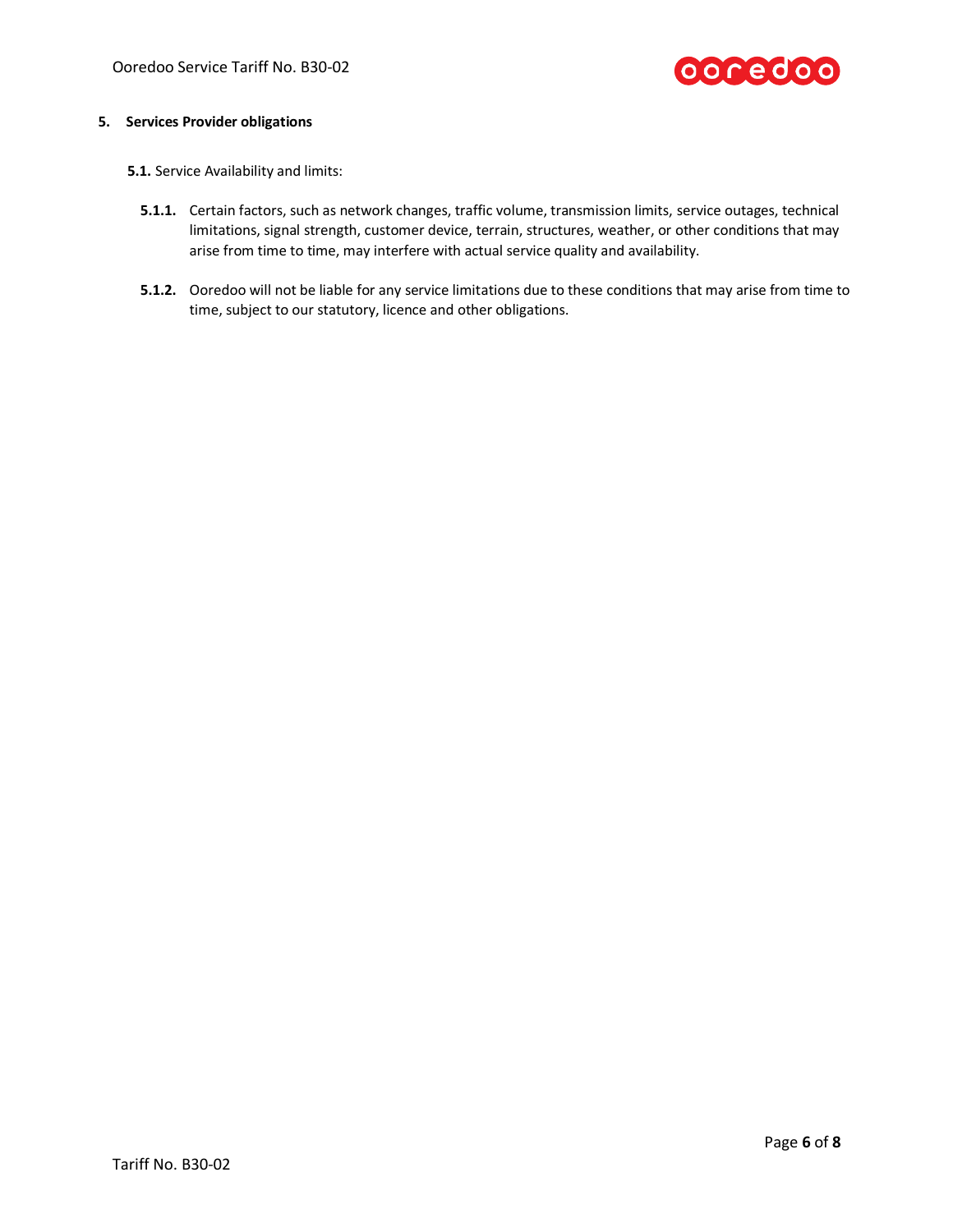

#### **5. Services Provider obligations**

- **5.1.** Service Availability and limits:
	- **5.1.1.** Certain factors, such as network changes, traffic volume, transmission limits, service outages, technical limitations, signal strength, customer device, terrain, structures, weather, or other conditions that may arise from time to time, may interfere with actual service quality and availability.
	- **5.1.2.** Ooredoo will not be liable for any service limitations due to these conditions that may arise from time to time, subject to our statutory, licence and other obligations.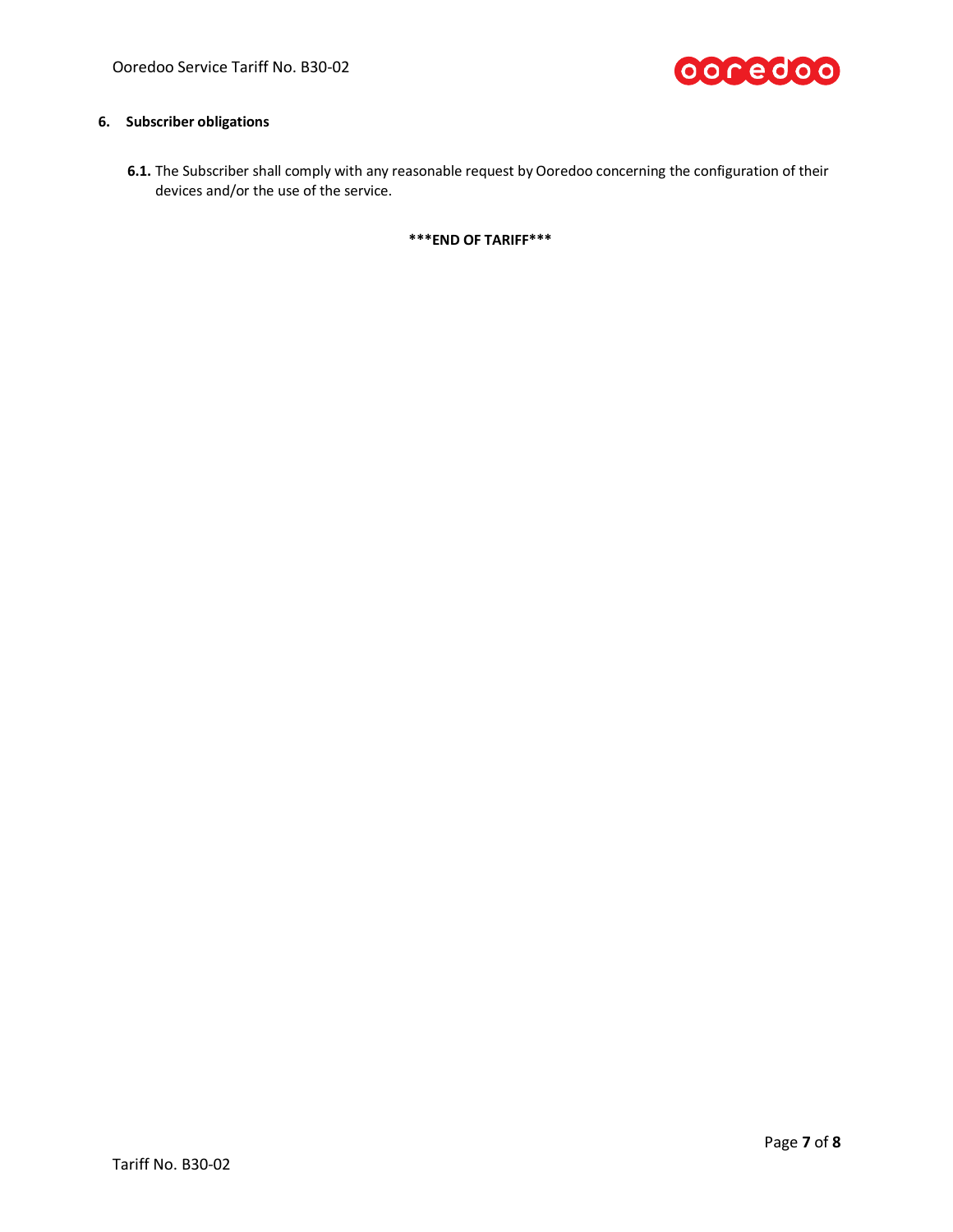

## **6. Subscriber obligations**

**6.1.** The Subscriber shall comply with any reasonable request by Ooredoo concerning the configuration of their devices and/or the use of the service.

**\*\*\*END OF TARIFF\*\*\***